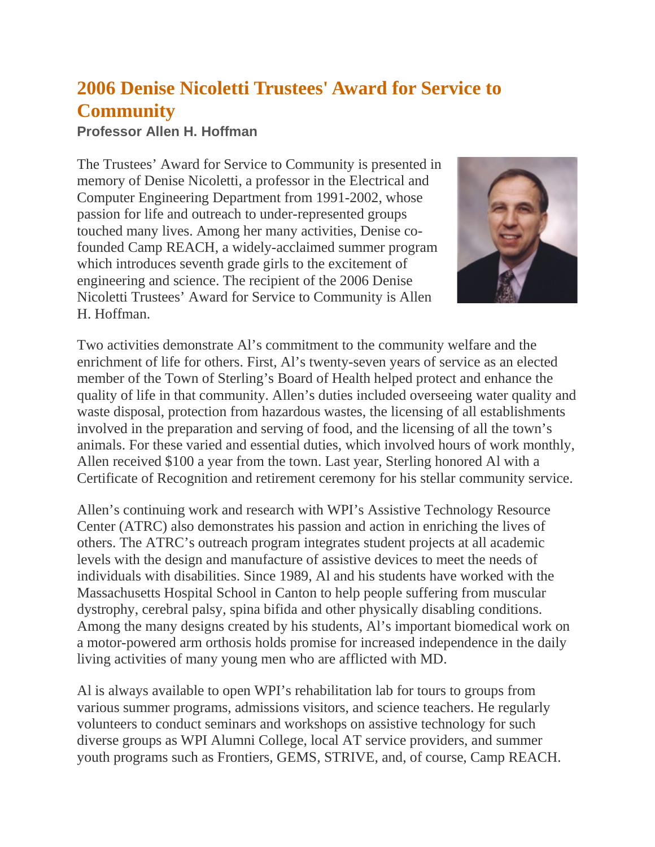## **2006 Denise Nicoletti Trustees' Award for Service to Community**

## **Professor Allen H. Hoffman**

The Trustees' Award for Service to Community is presented in memory of Denise Nicoletti, a professor in the Electrical and Computer Engineering Department from 1991-2002, whose passion for life and outreach to under-represented groups touched many lives. Among her many activities, Denise cofounded Camp REACH, a widely-acclaimed summer program which introduces seventh grade girls to the excitement of engineering and science. The recipient of the 2006 Denise Nicoletti Trustees' Award for Service to Community is Allen H. Hoffman.



Two activities demonstrate Al's commitment to the community welfare and the enrichment of life for others. First, Al's twenty-seven years of service as an elected member of the Town of Sterling's Board of Health helped protect and enhance the quality of life in that community. Allen's duties included overseeing water quality and waste disposal, protection from hazardous wastes, the licensing of all establishments involved in the preparation and serving of food, and the licensing of all the town's animals. For these varied and essential duties, which involved hours of work monthly, Allen received \$100 a year from the town. Last year, Sterling honored Al with a Certificate of Recognition and retirement ceremony for his stellar community service.

Allen's continuing work and research with WPI's Assistive Technology Resource Center (ATRC) also demonstrates his passion and action in enriching the lives of others. The ATRC's outreach program integrates student projects at all academic levels with the design and manufacture of assistive devices to meet the needs of individuals with disabilities. Since 1989, Al and his students have worked with the Massachusetts Hospital School in Canton to help people suffering from muscular dystrophy, cerebral palsy, spina bifida and other physically disabling conditions. Among the many designs created by his students, Al's important biomedical work on a motor-powered arm orthosis holds promise for increased independence in the daily living activities of many young men who are afflicted with MD.

Al is always available to open WPI's rehabilitation lab for tours to groups from various summer programs, admissions visitors, and science teachers. He regularly volunteers to conduct seminars and workshops on assistive technology for such diverse groups as WPI Alumni College, local AT service providers, and summer youth programs such as Frontiers, GEMS, STRIVE, and, of course, Camp REACH.